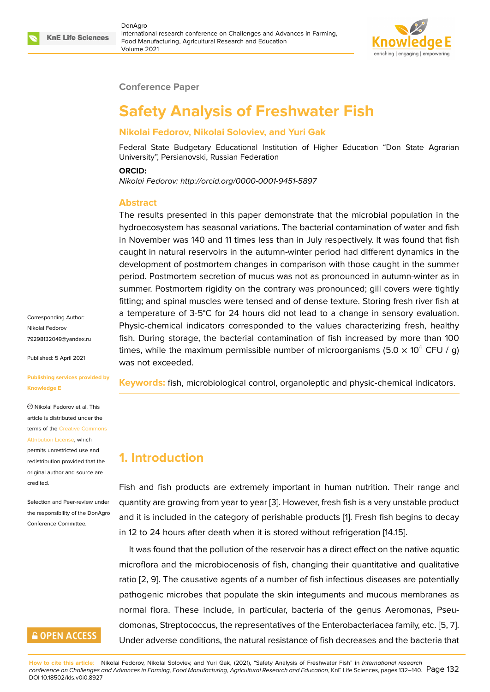

### **Conference Paper**

# **Safety Analysis of Freshwater Fish**

### **Nikolai Fedorov, Nikolai Soloviev, and Yuri Gak**

Federal State Budgetary Educational Institution of Higher Education "Don State Agrarian University", Persianovski, Russian Federation

#### **ORCID:**

*Nikolai Fedorov: http://orcid.org/0000-0001-9451-5897*

### **Abstract**

The results presented in this paper demonstrate that the microbial population in the hydroecosystem has seasonal variations. The bacterial contamination of water and fish in November was 140 and 11 times less than in July respectively. It was found that fish caught in natural reservoirs in the autumn-winter period had different dynamics in the development of postmortem changes in comparison with those caught in the summer period. Postmortem secretion of mucus was not as pronounced in autumn-winter as in summer. Postmortem rigidity on the contrary was pronounced; gill covers were tightly fitting; and spinal muscles were tensed and of dense texture. Storing fresh river fish at a temperature of 3-5°C for 24 hours did not lead to a change in sensory evaluation. Physic-chemical indicators corresponded to the values characterizing fresh, healthy fish. During storage, the bacterial contamination of fish increased by more than 100 times, while the maximum permissible number of microorganisms (5.0  $\times$  10<sup>4</sup> CFU / g) was not exceeded.

**Keywords:** fish, microbiological control, organoleptic and physic-chemical indicators.

### **1. Introduction**

Fish and fish products are extremely important in human nutrition. Their range and quantity are growing from year to year [3]. However, fresh fish is a very unstable product and it is included in the category of perishable products [1]. Fresh fish begins to decay in 12 to 24 hours after death when it is stored without refrigeration [14.15].

It was found that the pollution of the [re](#page-7-0)servoir has a direct effect on the native aquatic microflora and the microbiocenosis of fish, changing the[ir](#page-7-1) quantitative and qualitative ratio [2, 9]. The causative agents of a number of fish infectious diseases are potentially pathogenic microbes that populate the skin integuments and mucous membranes as normal flora. These include, in particular, bacteria of the genus Aeromonas, Pseudom[on](#page-7-2)[as,](#page-7-3) Streptococcus, the representatives of the Enterobacteriacea family, etc. [5, 7]. Under adverse conditions, the natural resistance of fish decreases and the bacteria that

Corresponding Author: Nikolai Fedorov 79298132049@yandex.ru

Published: 5 April 2021

#### **[Publishing services provi](mailto:79298132049@yandex.ru)ded by Knowledge E**

Nikolai Fedorov et al. This article is distributed under the terms of the Creative Commons Attribution License, which

permits unrestricted use and redistribution provided that the original auth[or and source are](https://creativecommons.org/licenses/by/4.0/) [credited.](https://creativecommons.org/licenses/by/4.0/)

Selection and Peer-review under the responsibility of the DonAgro Conference Committee.

# **GOPEN ACCESS**

**How to cite this article**: Nikolai Fedorov, Nikolai Soloviev, and Yuri Gak, (2021), "Safety Analysis of Freshwater Fish" in *International research conference on Challenges and Advances in Farming, Food Manufacturing, Agricultural Research and Education*, KnE Life Sciences, pages 132–140. Pag[e](#page-7-4) 1[32](#page-7-5) DOI 10.18502/kls.v0i0.8927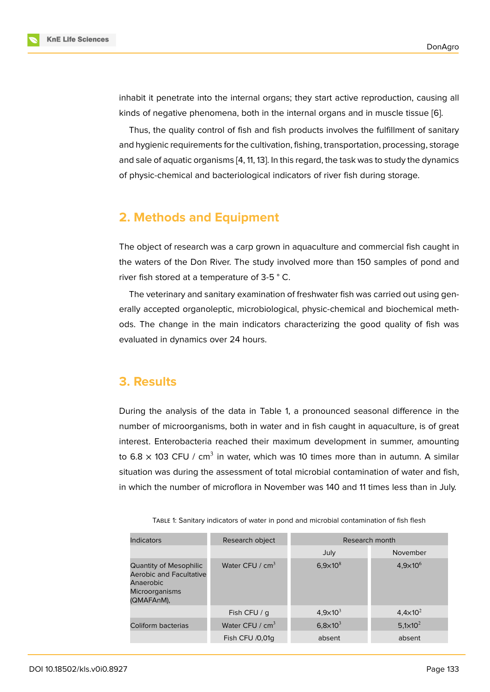inhabit it penetrate into the internal organs; they start active reproduction, causing all kinds of negative phenomena, both in the internal organs and in muscle tissue [6].

Thus, the quality control of fish and fish products involves the fulfillment of sanitary and hygienic requirements for the cultivation, fishing, transportation, processing, storage and sale of aquatic organisms [4, 11, 13]. In this regard, the task was to study the dy[na](#page-7-6)mics of physic-chemical and bacteriological indicators of river fish during storage.

# **2. Methods and Equipment**

The object of research was a carp grown in aquaculture and commercial fish caught in the waters of the Don River. The study involved more than 150 samples of pond and river fish stored at a temperature of 3-5 ° C.

The veterinary and sanitary examination of freshwater fish was carried out using generally accepted organoleptic, microbiological, physic-chemical and biochemical methods. The change in the main indicators characterizing the good quality of fish was evaluated in dynamics over 24 hours.

### **3. Results**

During the analysis of the data in Table 1, a pronounced seasonal difference in the number of microorganisms, both in water and in fish caught in aquaculture, is of great interest. Enterobacteria reached their maximum development in summer, amounting to 6.8  $\times$  103 CFU / cm<sup>3</sup> in water, which was 10 times more than in autumn. A similar situation was during the assessment of total microbial contamination of water and fish, in which the number of microflora in November was 140 and 11 times less than in July.

| <b>Indicators</b>                                                                                                   | Research object   | Research month      |                              |  |
|---------------------------------------------------------------------------------------------------------------------|-------------------|---------------------|------------------------------|--|
|                                                                                                                     |                   | July                | November                     |  |
| <b>Quantity of Mesophilic</b><br><b>Aerobic and Facultative</b><br>Anaerobic<br><b>Microorganisms</b><br>(QMAFAnM), | Water CFU / $cm3$ | $6,9\times10^{8}$   | $4,9\times10^{6}$            |  |
|                                                                                                                     | Fish CFU / q      | $4,9 \times 10^{3}$ | $4,4 \times 10^{2}$          |  |
| Coliform bacterias                                                                                                  | Water CFU / $cm3$ | $6,8\times10^{3}$   | 5,1 $\times$ 10 <sup>2</sup> |  |
|                                                                                                                     | Fish CFU /0,01q   | absent              | absent                       |  |

TABLE 1: Sanitary indicators of water in pond and microbial contamination of fish flesh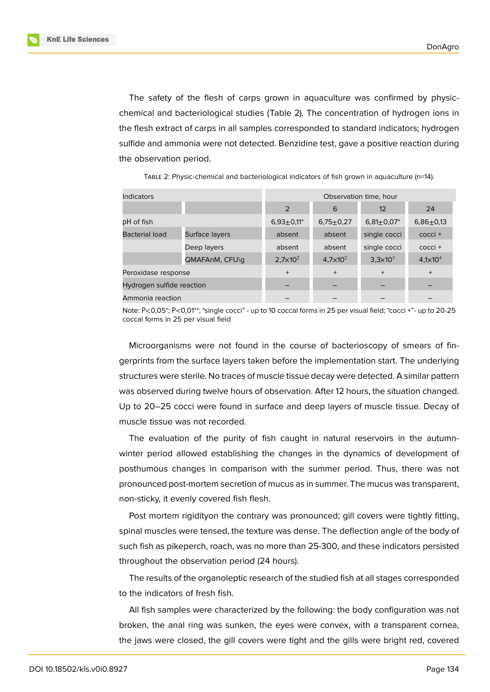**KnE Life Sciences** 



The safety of the flesh of carps grown in aquaculture was confirmed by physicchemical and bacteriological studies (Table 2). The concentration of hydrogen ions in the flesh extract of carps in all samples corresponded to standard indicators; hydrogen sulfide and ammonia were not detected. Benzidine test, gave a positive reaction during the observation period.

TABLE 2: Physic-chemical and bacteriological indicators of fish grown in aquaculture (n=14).

| <b>Indicators</b>         |                | Observation time, hour |                   |                     |                     |  |
|---------------------------|----------------|------------------------|-------------------|---------------------|---------------------|--|
|                           |                | 2                      | 6                 | 12                  | 24                  |  |
| pH of fish                |                | $6.93 \pm 0.11^*$      | $6,75+0,27$       | $6,81 \pm 0,07$ *   | $6,86+0,13$         |  |
| <b>Bacterial load</b>     | Surface layers | absent                 | absent            | single cocci        | cocci +             |  |
|                           | Deep layers    | absent                 | absent            | single cocci        | cocci +             |  |
|                           | QMAFAnM, CFU\q | $2,7\times10^{2}$      | $4,7\times10^{2}$ | $3,3 \times 10^{3}$ | $4,1 \times 10^{4}$ |  |
| Peroxidase response       |                | $^{+}$                 | $^{+}$            | $+$                 | $+$                 |  |
| Hydrogen sulfide reaction |                |                        |                   |                     |                     |  |
| Ammonia reaction          |                |                        |                   |                     |                     |  |

Note: Р<0,05\*; Р<0,01\*\*; "single cocci" - up to 10 coccal forms in 25 per visual field; "cocci +"- up to 20-25 coccal forms in 25 per visual field

Microorganisms were not found in the course of bacterioscopy of smears of fingerprints from the surface layers taken before the implementation start. The underlying structures were sterile. No traces of muscle tissue decay were detected. A similar pattern was observed during twelve hours of observation. After 12 hours, the situation changed. Up to 20–25 cocci were found in surface and deep layers of muscle tissue. Decay of muscle tissue was not recorded.

The evaluation of the purity of fish caught in natural reservoirs in the autumnwinter period allowed establishing the changes in the dynamics of development of posthumous changes in comparison with the summer period. Thus, there was not pronounced post-mortem secretion of mucus as in summer. The mucus was transparent, non-sticky, it evenly covered fish flesh.

Post mortem rigidityon the contrary was pronounced; gill covers were tightly fitting, spinal muscles were tensed, the texture was dense. The deflection angle of the body of such fish as pikeperch, roach, was no more than 25-300, and these indicators persisted throughout the observation period (24 hours).

The results of the organoleptic research of the studied fish at all stages corresponded to the indicators of fresh fish.

All fish samples were characterized by the following: the body configuration was not broken, the anal ring was sunken, the eyes were convex, with a transparent cornea, the jaws were closed, the gill covers were tight and the gills were bright red, covered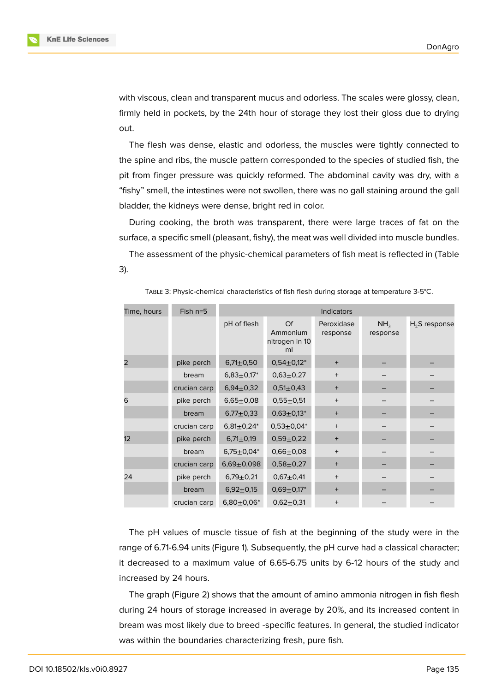with viscous, clean and transparent mucus and odorless. The scales were glossy, clean, firmly held in pockets, by the 24th hour of storage they lost their gloss due to drying out.

The flesh was dense, elastic and odorless, the muscles were tightly connected to the spine and ribs, the muscle pattern corresponded to the species of studied fish, the pit from finger pressure was quickly reformed. The abdominal cavity was dry, with a "fishy" smell, the intestines were not swollen, there was no gall staining around the gall bladder, the kidneys were dense, bright red in color.

During cooking, the broth was transparent, there were large traces of fat on the surface, a specific smell (pleasant, fishy), the meat was well divided into muscle bundles.

The assessment of the physic-chemical parameters of fish meat is reflected in (Table 3).

| Time, hours     | Fish $n=5$   | <b>Indicators</b> |                                        |                        |                             |                    |
|-----------------|--------------|-------------------|----------------------------------------|------------------------|-----------------------------|--------------------|
|                 |              | pH of flesh       | Of<br>Ammonium<br>nitrogen in 10<br>ml | Peroxidase<br>response | NH <sub>3</sub><br>response | $H_{2}$ S response |
| $\overline{2}$  | pike perch   | $6,71 \pm 0,50$   | $0,54\pm0,12*$                         | $^{+}$                 |                             |                    |
|                 | bream        | $6,83 \pm 0,17^*$ | $0,63+0,27$                            | $^{+}$                 |                             |                    |
|                 | crucian carp | $6,94\pm0,32$     | $0,51 \pm 0,43$                        | $^{+}$                 |                             |                    |
| 6               | pike perch   | $6,65 \pm 0,08$   | $0,55 \pm 0,51$                        | $+$                    |                             |                    |
|                 | bream        | $6,77+0,33$       | $0,63+0,13*$                           | $+$                    |                             |                    |
|                 | crucian carp | $6,81 \pm 0,24^*$ | $0,53\pm0,04*$                         | $+$                    |                             |                    |
| 12 <sup>2</sup> | pike perch   | $6,71 \pm 0,19$   | $0,59 \pm 0,22$                        | $^{+}$                 |                             |                    |
|                 | bream        | $6,75 \pm 0,04*$  | $0,66 \pm 0,08$                        | $+$                    |                             |                    |
|                 | crucian carp | $6,69+0,098$      | $0,58+0,27$                            | $^{+}$                 |                             |                    |
| 24              | pike perch   | $6,79+0,21$       | $0,67+0,41$                            | $^{+}$                 |                             |                    |
|                 | bream        | $6,92 \pm 0,15$   | $0,69 \pm 0,17$ *                      | $^{+}$                 |                             |                    |
|                 | crucian carp | $6,80+0,06*$      | $0,62+0,31$                            | $^{+}$                 |                             |                    |

TABLE 3: Physic-chemical characteristics of fish flesh during storage at temperature 3-5°C.

The pH values of muscle tissue of fish at the beginning of the study were in the range of 6.71-6.94 units (Figure 1). Subsequently, the pH curve had a classical character; it decreased to a maximum value of 6.65-6.75 units by 6-12 hours of the study and increased by 24 hours.

The graph (Figure 2) shows [th](#page-4-0)at the amount of amino ammonia nitrogen in fish flesh during 24 hours of storage increased in average by 20%, and its increased content in bream was most likely due to breed -specific features. In general, the studied indicator was within the boun[da](#page-4-1)ries characterizing fresh, pure fish.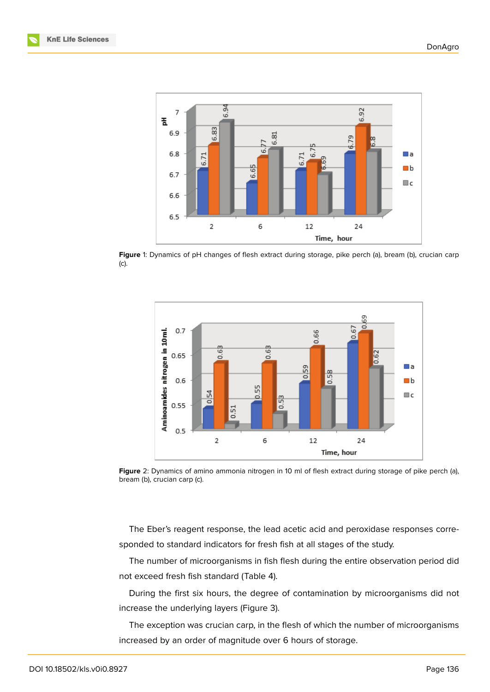

**Figure** 1: Dynamics of pH changes of flesh extract during storage, pike perch (a), bream (b), crucian carp (c).

<span id="page-4-0"></span>

**Figure** 2: Dynamics of amino ammonia nitrogen in 10 ml of flesh extract during storage of pike perch (a), bream (b), crucian carp (c).

<span id="page-4-1"></span>The Eber's reagent response, the lead acetic acid and peroxidase responses corresponded to standard indicators for fresh fish at all stages of the study.

The number of microorganisms in fish flesh during the entire observation period did not exceed fresh fish standard (Table 4).

During the first six hours, the degree of contamination by microorganisms did not increase the underlying layers (Figure 3).

The exception was crucian carp, in the flesh of which the number of microorganisms increased by an order of magnitude o[ve](#page-6-0)r 6 hours of storage.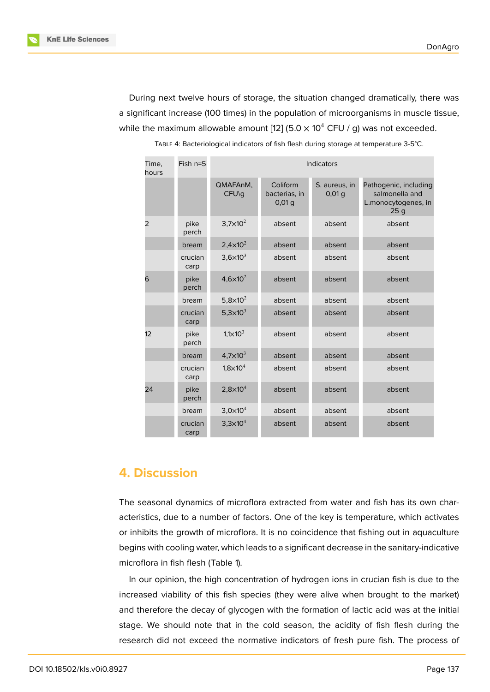During next twelve hours of storage, the situation changed dramatically, there was a significant increase (100 times) in the population of microorganisms in muscle tissue, while the maximum allowable amount [12] (5.0  $\times$  10<sup>4</sup> CFU / g) was not exceeded.

| Time,<br>hours | $Fish$ $n=5$    | <b>Indicators</b>            |                                    |                           |                                                                       |
|----------------|-----------------|------------------------------|------------------------------------|---------------------------|-----------------------------------------------------------------------|
|                |                 | QMAFAnM.<br>CFU\g            | Coliform<br>bacterias, in<br>0,01q | S. aureus, in<br>$0,01$ q | Pathogenic, including<br>salmonella and<br>L.monocytogenes, in<br>25q |
| 2              | pike<br>perch   | $3,7\times10^{2}$            | absent                             | absent                    | absent                                                                |
|                | bream           | $2,4 \times 10^{2}$          | absent                             | absent                    | absent                                                                |
|                | crucian<br>carp | $3,6 \times 10^{3}$          | absent                             | absent                    | absent                                                                |
| 6              | pike<br>perch   | 4,6 $\times$ 10 <sup>2</sup> | absent                             | absent                    | absent                                                                |
|                | bream           | 5,8 $\times$ 10 <sup>2</sup> | absent                             | absent                    | absent                                                                |
|                | crucian<br>carp | 5,3 $\times$ 10 <sup>3</sup> | absent                             | absent                    | absent                                                                |
| 12             | pike<br>perch   | $1,1 \times 10^{3}$          | absent                             | absent                    | absent                                                                |
|                | bream           | $4,7 \times 10^{3}$          | absent                             | absent                    | absent                                                                |
|                | crucian<br>carp | $1,8\times10^{4}$            | absent                             | absent                    | absent                                                                |
| 24             | pike<br>perch   | $2,8\times10^{4}$            | absent                             | absent                    | absent                                                                |
|                | bream           | $3,0\times10^{4}$            | absent                             | absent                    | absent                                                                |
|                | crucian<br>carp | $3,3\times10^{4}$            | absent                             | absent                    | absent                                                                |

TABLE 4: Bacteriological indicators of fish flesh during storage at temperature 3-5°C.

# **4. Discussion**

The seasonal dynamics of microflora extracted from water and fish has its own characteristics, due to a number of factors. One of the key is temperature, which activates or inhibits the growth of microflora. It is no coincidence that fishing out in aquaculture begins with cooling water, which leads to a significant decrease in the sanitary-indicative microflora in fish flesh (Table 1).

In our opinion, the high concentration of hydrogen ions in crucian fish is due to the increased viability of this fish species (they were alive when brought to the market) and therefore the decay of glycogen with the formation of lactic acid was at the initial stage. We should note that in the cold season, the acidity of fish flesh during the research did not exceed the normative indicators of fresh pure fish. The process of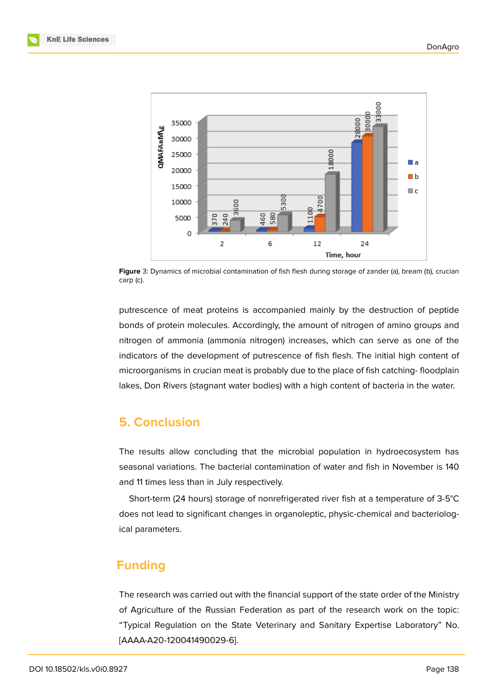

<span id="page-6-0"></span>**Figure** 3: Dynamics of microbial contamination of fish flesh during storage of zander (a), bream (b), crucian carp (c).

putrescence of meat proteins is accompanied mainly by the destruction of peptide bonds of protein molecules. Accordingly, the amount of nitrogen of amino groups and nitrogen of ammonia (ammonia nitrogen) increases, which can serve as one of the indicators of the development of putrescence of fish flesh. The initial high content of microorganisms in crucian meat is probably due to the place of fish catching- floodplain lakes, Don Rivers (stagnant water bodies) with a high content of bacteria in the water.

# **5. Conclusion**

The results allow concluding that the microbial population in hydroecosystem has seasonal variations. The bacterial contamination of water and fish in November is 140 and 11 times less than in July respectively.

Short-term (24 hours) storage of nonrefrigerated river fish at a temperature of 3-5°C does not lead to significant changes in organoleptic, physic-chemical and bacteriological parameters.

# **Funding**

The research was carried out with the financial support of the state order of the Ministry of Agriculture of the Russian Federation as part of the research work on the topic: "Typical Regulation on the State Veterinary and Sanitary Expertise Laboratory" No. [AAAA-A20-120041490029-6].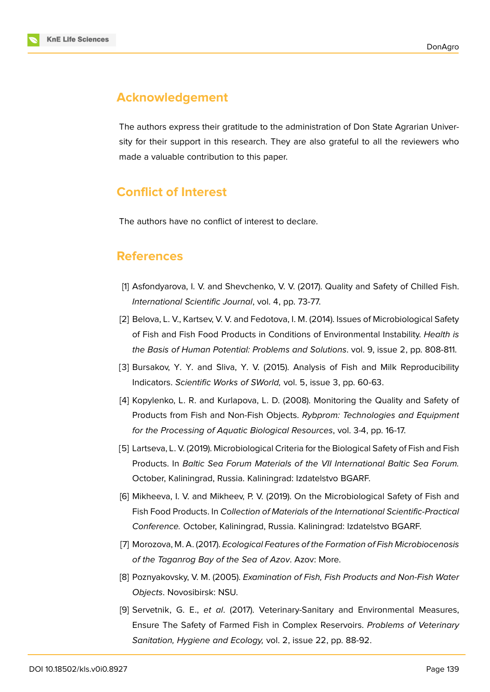

# **Acknowledgement**

The authors express their gratitude to the administration of Don State Agrarian University for their support in this research. They are also grateful to all the reviewers who made a valuable contribution to this paper.

# **Conflict of Interest**

The authors have no conflict of interest to declare.

# **References**

- <span id="page-7-1"></span>[1] Asfondyarova, I. V. and Shevchenko, V. V. (2017). Quality and Safety of Chilled Fish. *International Scientific Journal*, vol. 4, pp. 73-77.
- <span id="page-7-2"></span>[2] Belova, L. V., Kartsev, V. V. and Fedotova, I. M. (2014). Issues of Microbiological Safety of Fish and Fish Food Products in Conditions of Environmental Instability. *Health is the Basis of Human Potential: Problems and Solutions*. vol. 9, issue 2, pp. 808-811.
- <span id="page-7-0"></span>[3] Bursakov, Y. Y. and Sliva, Y. V. (2015). Analysis of Fish and Milk Reproducibility Indicators. *Scientific Works of SWorld,* vol. 5, issue 3, pp. 60-63.
- [4] Kopylenko, L. R. and Kurlapova, L. D. (2008). Monitoring the Quality and Safety of Products from Fish and Non-Fish Objects. *Rybprom: Technologies and Equipment for the Processing of Aquatic Biological Resources*, vol. 3-4, pp. 16-17.
- <span id="page-7-4"></span>[5] Lartseva, L. V. (2019). Microbiological Criteria for the Biological Safety of Fish and Fish Products. In *Baltic Sea Forum Materials of the VII International Baltic Sea Forum.* October, Kaliningrad, Russia. Kaliningrad: Izdatelstvo BGARF.
- <span id="page-7-6"></span>[6] Mikheeva, I. V. and Mikheev, P. V. (2019). On the Microbiological Safety of Fish and Fish Food Products. In *Collection of Materials of the International Scientific-Practical Conference.* October, Kaliningrad, Russia. Kaliningrad: Izdatelstvo BGARF.
- <span id="page-7-5"></span>[7] Morozova, M. A. (2017). *Ecological Features of the Formation of Fish Microbiocenosis of the Taganrog Bay of the Sea of Azov*. Azov: More.
- [8] Poznyakovsky, V. M. (2005). *Examination of Fish, Fish Products and Non-Fish Water Objects*. Novosibirsk: NSU.
- <span id="page-7-3"></span>[9] Servetnik, G. E., *et al*. (2017). Veterinary-Sanitary and Environmental Measures, Ensure The Safety of Farmed Fish in Complex Reservoirs. *Problems of Veterinary Sanitation, Hygiene and Ecology,* vol. 2, issue 22, pp. 88-92.